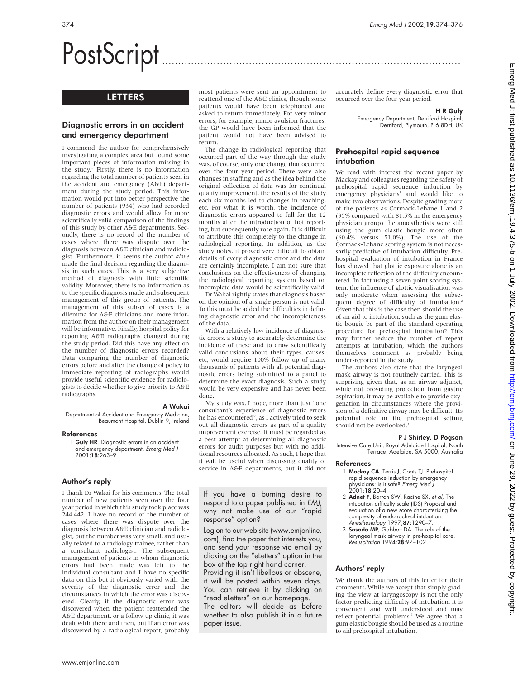# PostScript .............................................................................................

# LETTERS

# Diagnostic errors in an accident and emergency department

I commend the author for comprehensively investigating a complex area but found some important pieces of information missing in the study.<sup>1</sup> Firstly, there is no information regarding the total number of patients seen in the accident and emergency (A&E) department during the study period. This information would put into better perspective the number of patients (934) who had recorded diagnostic errors and would allow for more scientifically valid comparison of the findings of this study by other A&E departments. Secondly, there is no record of the number of cases where there was dispute over the diagnosis between A&E clinician and radiologist. Furthermore, it seems the author *alone* made the final decision regarding the diagnosis in such cases. This is a very subjective method of diagnosis with little scientific validity. Moreover, there is no information as to the specific diagnosis made and subsequent management of this group of patients. The management of this subset of cases is a dilemma for A&E clinicians and more information from the author on their management will be informative. Finally, hospital policy for reporting A&E radiographs changed during the study period. Did this have any effect on the number of diagnostic errors recorded? Data comparing the number of diagnostic errors before and after the change of policy to immediate reporting of radiographs would provide useful scientific evidence for radiologists to decide whether to give priority to A&E radiographs.

#### A Wakai

Department of Accident and Emergency Medicine, Beaumont Hospital, Dublin 9, Ireland

#### References

1 Guly HR. Diagnostic errors in an accident and emergency department. *Emerg Med J*<br>2001;**18**:263–9.

### Author's reply

I thank Dr Wakai for his comments. The total number of new patients seen over the four year period in which this study took place was 244 442. I have no record of the number of cases where there was dispute over the diagnosis between A&E clinician and radiologist, but the number was very small, and usually related to a radiology trainee, rather than a consultant radiologist. The subsequent management of patients in whom diagnostic errors had been made was left to the individual consultant and I have no specific data on this but it obviously varied with the severity of the diagnostic error and the circumstances in which the error was discovered. Clearly, if the diagnostic error was discovered when the patient reattended the A&E department, or a follow up clinic, it was dealt with there and then, but if an error was discovered by a radiological report, probably

most patients were sent an appointment to reattend one of the A&E clinics, though some patients would have been telephoned and asked to return immediately. For very minor errors, for example, minor avulsion fractures, the GP would have been informed that the patient would not have been advised to return.

The change in radiological reporting that occurred part of the way through the study was, of course, only one change that occurred over the four year period. There were also changes in staffing and as the idea behind the original collection of data was for continual quality improvement, the results of the study each six months led to changes in teaching, etc. For what it is worth, the incidence of diagnostic errors appeared to fall for the 12 months after the introduction of hot reporting, but subsequently rose again. It is difficult to attribute this completely to the change in radiological reporting. In addition, as the study notes, it proved very difficult to obtain details of every diagnostic error and the data are certainly incomplete. I am not sure that conclusions on the effectiveness of changing the radiological reporting system based on incomplete data would be scientifically valid.

Dr Wakai rightly states that diagnosis based on the opinion of a single person is not valid. To this must be added the difficulties in defining diagnostic error and the incompleteness of the data.

With a relatively low incidence of diagnostic errors, a study to accurately determine the incidence of these and to draw scientifically valid conclusions about their types, causes, etc, would require 100% follow up of many thousands of patients with all potential diagnostic errors being submitted to a panel to determine the exact diagnosis. Such a study would be very expensive and has never been done.

My study was, I hope, more than just "one consultant's experience of diagnostic errors he has encountered", as I actively tried to seek out all diagnostic errors as part of a quality improvement exercise. It must be regarded as a best attempt at determining all diagnostic errors for audit purposes but with no additional resources allocated. As such, I hope that it will be useful when discussing quality of service in A&E departments, but it did not

If you have a burning desire to respond to a paper published in EMJ, why not make use of our "rapid response" option?

Log on to our web site (www.emjonline. com), find the paper that interests you, and send your response via email by clicking on the "eLetters" option in the box at the top right hand corner.

Providing it isn't libellous or obscene, it will be posted within seven days. You can retrieve it by clicking on "read eLetters" on our homepage. The editors will decide as before whether to also publish it in a future paper issue.

accurately define every diagnostic error that occurred over the four year period.

> H R Guly Emergency Department, Derriford Hospital, Derriford, Plymouth, PL6 8DH, UK

# Prehospital rapid sequence intubation

We read with interest the recent paper by Mackay and colleagues regarding the safety of prehospital rapid sequence induction by emergency physicians<sup>1</sup> and would like to make two observations. Despite grading more of the patients as Cormack-Lehane 1 and 2 (95% compared with 81.5% in the emergency physician group) the anaesthetists were still using the gum elastic bougie more often (60.4% versus 51.0%). The use of the Cormack-Lehane scoring system is not necessarily predictive of intubation difficulty. Prehospital evaluation of intubation in France has showed that glottic exposure alone is an incomplete reflection of the difficulty encountered. In fact using a seven point scoring system, the influence of glottic visualisation was only moderate when assessing the subsequent degree of difficulty of intubation.<sup>2</sup> Given that this is the case then should the use of an aid to intubation, such as the gum elastic bougie be part of the standard operating procedure for prehospital intubation? This may further reduce the number of repeat attempts at intubation, which the authors themselves comment as probably being under-reported in the study.

The authors also state that the laryngeal mask airway is not routinely carried. This is surprising given that, as an airway adjunct, while not providing protection from gastric aspiration, it may be available to provide oxygenation in circumstances where the provision of a definitive airway may be difficult. Its potential role in the prehospital setting should not be overlooked.

#### P J Shirley, D Pogson

Intensive Care Unit, Royal Adelaide Hospital, North Terrace, Adelaide, SA 5000, Australia

#### References

- 1 Mackay CA, Terris J, Coats TJ. Prehospital rapid sequence induction by emergency physicians: is it safe? Emerg Med J  $2001:18:20-4$ .
- 2 Adnet F, Borron SW, Racine SX, et al, The intubation difficulty scale (IDS) Proposal and evaluation of a new score characterising the complexity of endotracheal intubation.<br>A*nesthesiology* 1997;**87**:1290–7.<br>3 **Sasada MP**, Gabbott DA. The role of the
- laryngeal mask airway in pre-hospital care. Resuscitation 1994;28:97–102.

#### Authors' reply

We thank the authors of this letter for their comments. While we accept that simply grading the view at laryngoscopy is not the only factor predicting difficulty of intubation, it is convenient and well understood and may reflect potential problems.<sup>1</sup> We agree that a gum elastic bougie should be used as a routine to aid prehospital intubation.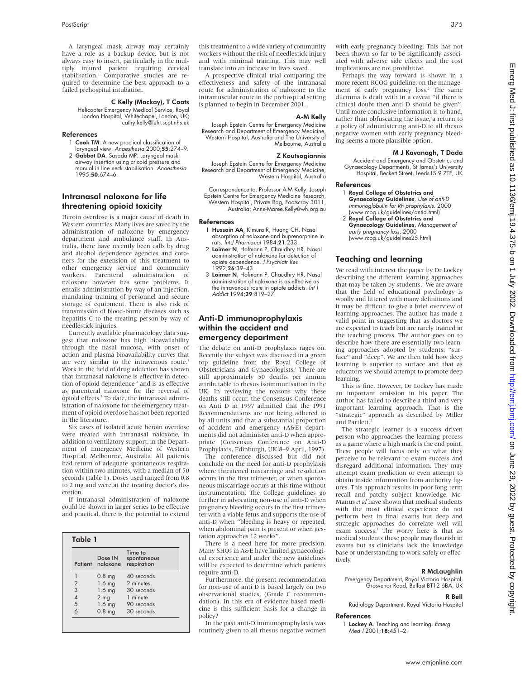A laryngeal mask airway may certainly have a role as a backup device, but is not always easy to insert, particularly in the multiply injured patient requiring cervical stabilisation.<sup>2</sup> Comparative studies are required to determine the best approach to a failed prehospital intubation.

#### C Kelly (Mackay), T Coats

Helicopter Emergency Medical Service, Royal London Hospital, Whitechapel, London, UK; cathy.kelly@luht.scot.nhs.uk

#### References

- 1 Cook TM. A new practical classification of laryngeal view. Anaesthesia 2000;55:274–9.
- 2 Gabbot DA, Sasada MP. Laryngeal mask airway insertion using cricoid pressure and manual in line neck stabilisation. Anaesthesia 1995;50:674–6.

# Intranasal naloxone for life threatening opioid toxicity

Heroin overdose is a major cause of death in Western countries. Many lives are saved by the administration of naloxone by emergency department and ambulance staff. In Australia, there have recently been calls by drug and alcohol dependence agencies and coroners for the extension of this treatment to other emergency service and community workers. Parenteral administration of naloxone however has some problems. It entails administration by way of an injection, mandating training of personnel and secure storage of equipment. There is also risk of transmission of blood-borne diseases such as hepatitis C to the treating person by way of needlestick injuries.

Currently available pharmacology data suggest that naloxone has high bioavailability through the nasal mucosa, with onset of action and plasma bioavailability curves that are very similar to the intravenous route.<sup>1</sup> Work in the field of drug addiction has shown that intranasal naloxone is effective in detection of opioid dependence  $2$  and is as effective as parenteral naloxone for the reversal of opioid effects.3 To date, the intranasal administration of naloxone for the emergency treatment of opioid overdose has not been reported in the literature.

Six cases of isolated acute heroin overdose were treated with intranasal naloxone, in addition to ventilatory support, in the Department of Emergency Medicine of Western Hospital, Melbourne, Australia. All patients had return of adequate spontaneous respiration within two minutes, with a median of 50 seconds (table 1). Doses used ranged from 0.8 to 2 mg and were at the treating doctor's discretion.

If intranasal administration of naloxone could be shown in larger series to be effective and practical, there is the potential to extend

| Table 1        |                             |                                       |
|----------------|-----------------------------|---------------------------------------|
|                | Dose IN<br>Patient naloxone | Time to<br>spontaneous<br>respiration |
|                | $0.8$ mg                    | 40 seconds                            |
| 2              | $1.6$ mg                    | 2 minutes                             |
| 3              | $1.6$ mg                    | 30 seconds                            |
| $\overline{A}$ | 2 <sub>mg</sub>             | 1 minute                              |
| 5              | $1.6$ mg                    | 90 seconds                            |
| $\overline{a}$ | 0.8 <sub>mg</sub>           | 30 seconds                            |

this treatment to a wide variety of community workers without the risk of needlestick injury and with minimal training. This may well translate into an increase in lives saved.

A prospective clinical trial comparing the effectiveness and safety of the intranasal route for administration of naloxone to the intramuscular route in the prehospital setting is planned to begin in December 2001.

#### A-M Kelly

Joseph Epstein Centre for Emergency Medicine Research and Department of Emergency Medicine, Western Hospital, Australia and The University of Melbourne, Australia

#### Z Koutsogiannis

Joseph Epstein Centre for Emergency Medicine Research and Department of Emergency Medicine, Western Hospital, Australia

Correspondence to: Professor A-M Kelly, Joseph Epstein Centre for Emergency Medicine Research, Western Hospital, Private Bag, Footscray 3011, Australia; Anne-Maree.Kelly@wh.org.au

#### References

- 1 Hussain AA, Kimura R, Huang CH. Nasal absorption of naloxone and buprenorphine in rats. Int J Pharmacol 1984;21:233.
- 2 Loimer N, Hofmann P, Chaudhry HR. Nasal administration of naloxone for detection of opiate dependence. J Psychiatr Res 1992;26:39–43.
- 3 Loimer N, Hofmann P, Chaudhry HR. Nasal administration of naloxone is as effective as the intravenous route in opiate addicts. Int J Addict 1994;29:819–27.

# Anti-D immunoprophylaxis within the accident and emergency department

The debate on anti-D prophylaxis rages on. Recently the subject was discussed in a green top guideline from the Royal College of Obstetricians and Gynaecologists.<sup>1</sup> There are still approximately 50 deaths per annum attributable to rhesus isoimmunisation in the UK. In reviewing the reasons why these deaths still occur, the Consensus Conference on Anti D in 1997 admitted that the 1991 Recommendations are not being adhered to by all units and that a substantial proportion of accident and emergency (A&E) departments did not administer anti-D when appropriate (Consensus Conference on Anti-D Prophylaxis, Edinburgh, UK 8–9 April, 1997).

The conference discussed but did not conclude on the need for anti-D prophylaxis where threatened miscarriage and resolution occurs in the first trimester, or when spontaneous miscarriage occurs at this time without instrumentation. The College guidelines go further in advocating non-use of anti-D when pregnancy bleeding occurs in the first trimester with a viable fetus and supports the use of anti-D when "bleeding is heavy or repeated, when abdominal pain is present or when gestation approaches 12 weeks".

There is a need here for more precision. Many SHOs in A&E have limited gynaecological experience and under the new guidelines will be expected to determine which patients require anti-D.

Furthermore, the present recommendation for non-use of anti D is based largely on two observational studies, (Grade C recommendation). In this era of evidence based medicine is this sufficient basis for a change in policy?

In the past anti-D immunoprophylaxis was routinely given to all rhesus negative women with early pregnancy bleeding. This has not been shown so far to be significantly associated with adverse side effects and the cost implications are not prohibitive.

Perhaps the way forward is shown in a more recent RCOG guideline, on the management of early pregnancy loss.<sup>2</sup> The same dilemma is dealt with in a caveat "if there is clinical doubt then anti D should be given". Until more conclusive information is to hand, rather than obfuscating the issue, a return to a policy of administering anti-D to all rhesus negative women with early pregnancy bleeding seems a more plausible option.

#### M J Kavanagh, T Dada

Accident and Emergency and Obstetrics and Gynaecology Departments, St James's University Hospital, Beckett Street, Leeds LS 9 7TF, UK

#### References

- 1 Royal College of Obstetrics and Gynaecology Guidelines. Use of anti-D immunoglobulin for Rh prophylaxis. 2000 (www.rcog.uk/guidelines/antid.html)
- 2 Royal College of Obstetrics and Gynaecology Guidelines. Management of early pregnancy loss. 2000 (www.rcog.uk/guidelines25.html)

# Teaching and learning

We read with interest the paper by Dr Lockey describing the different learning approaches that may be taken by students.<sup>1</sup> We are aware that the field of educational psychology is woolly and littered with many definitions and it may be difficult to give a brief overview of learning approaches. The author has made a valid point in suggesting that as doctors we are expected to teach but are rarely trained in the teaching process. The author goes on to describe how there are essentially two learning approaches adopted by students: "surface" and "deep". We are then told how deep learning is superior to surface and that as educators we should attempt to promote deep learning.

This is fine. However, Dr Lockey has made an important omission in his paper. The author has failed to describe a third and very important learning approach. That is the "strategic" approach as described by Miller and Partlett.<sup>2</sup>

The strategic learner is a success driven person who approaches the learning process as a game where a high mark is the end point. These people will focus only on what they perceive to be relevant to exam success and disregard additional information. They may attempt exam prediction or even attempt to obtain inside information from authority figures. This approach results in poor long term recall and patchy subject knowledge. Mc-Manus *et al* have shown that medical students with the most clinical experience do not perform best in final exams but deep and strategic approaches do correlate well will exam success.3 The worry here is that as medical students these people may flourish in exams but as clinicians lack the knowledge base or understanding to work safely or effectively.

#### R McLaughlin

R Bell

Emergency Department, Royal Victoria Hospital, Grosvenor Road, Belfast BT12 6BA, UK

Radiology Department, Royal Victoria Hospital

References 1 Lockey A. Teaching and learning. Emerg Med J 2001;18:451-2.